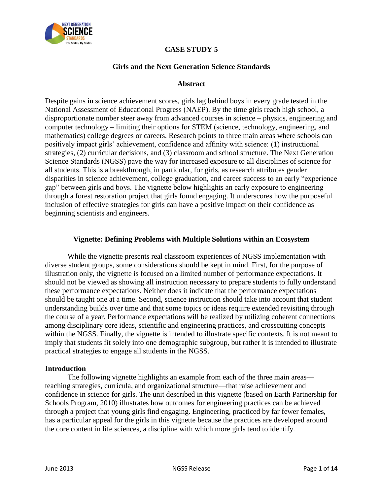

# **CASE STUDY 5**

### **Girls and the Next Generation Science Standards**

#### **Abstract**

Despite gains in science achievement scores, girls lag behind boys in every grade tested in the National Assessment of Educational Progress (NAEP). By the time girls reach high school, a disproportionate number steer away from advanced courses in science – physics, engineering and computer technology – limiting their options for STEM (science, technology, engineering, and mathematics) college degrees or careers. Research points to three main areas where schools can positively impact girls' achievement, confidence and affinity with science: (1) instructional strategies, (2) curricular decisions, and (3) classroom and school structure. The Next Generation Science Standards (NGSS) pave the way for increased exposure to all disciplines of science for all students. This is a breakthrough, in particular, for girls, as research attributes gender disparities in science achievement, college graduation, and career success to an early "experience gap" between girls and boys. The vignette below highlights an early exposure to engineering through a forest restoration project that girls found engaging. It underscores how the purposeful inclusion of effective strategies for girls can have a positive impact on their confidence as beginning scientists and engineers.

#### **Vignette: Defining Problems with Multiple Solutions within an Ecosystem**

While the vignette presents real classroom experiences of NGSS implementation with diverse student groups, some considerations should be kept in mind. First, for the purpose of illustration only, the vignette is focused on a limited number of performance expectations. It should not be viewed as showing all instruction necessary to prepare students to fully understand these performance expectations. Neither does it indicate that the performance expectations should be taught one at a time. Second, science instruction should take into account that student understanding builds over time and that some topics or ideas require extended revisiting through the course of a year. Performance expectations will be realized by utilizing coherent connections among disciplinary core ideas, scientific and engineering practices, and crosscutting concepts within the NGSS. Finally, the vignette is intended to illustrate specific contexts. It is not meant to imply that students fit solely into one demographic subgroup, but rather it is intended to illustrate practical strategies to engage all students in the NGSS.

#### **Introduction**

The following vignette highlights an example from each of the three main areas teaching strategies, curricula, and organizational structure—that raise achievement and confidence in science for girls. The unit described in this vignette (based on Earth Partnership for Schools Program, 2010) illustrates how outcomes for engineering practices can be achieved through a project that young girls find engaging. Engineering, practiced by far fewer females, has a particular appeal for the girls in this vignette because the practices are developed around the core content in life sciences, a discipline with which more girls tend to identify.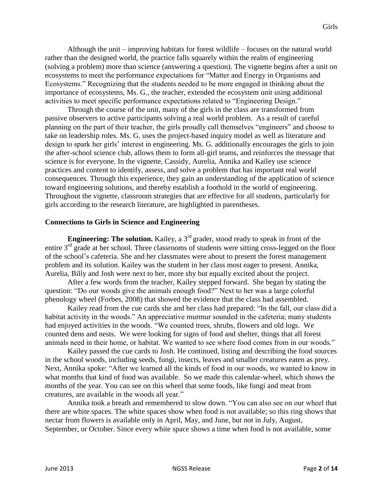Although the unit – improving habitats for forest wildlife – focuses on the natural world rather than the designed world, the practice falls squarely within the realm of engineering (solving a problem) more than science (answering a question). The vignette begins after a unit on ecosystems to meet the performance expectations for "Matter and Energy in Organisms and Ecosystems." Recognizing that the students needed to be more engaged in thinking about the importance of ecosystems, Ms. G., the teacher, extended the ecosystem unit using additional activities to meet specific performance expectations related to "Engineering Design."

Through the course of the unit, many of the girls in the class are transformed from passive observers to active participants solving a real world problem. As a result of careful planning on the part of their teacher, the girls proudly call themselves "engineers" and choose to take on leadership roles. Ms. G. uses the project-based inquiry model as well as literature and design to spark her girls' interest in engineering. Ms. G. additionally encourages the girls to join the after-school science club, allows them to form all-girl teams, and reinforces the message that science is for everyone. In the vignette, Cassidy, Aurelia, Annika and Kailey use science practices and content to identify, assess, and solve a problem that has important real world consequences. Through this experience, they gain an understanding of the application of science toward engineering solutions, and thereby establish a foothold in the world of engineering. Throughout the vignette, classroom strategies that are effective for all students, particularly for girls according to the research literature, are highlighted in parentheses.

### **Connections to Girls in Science and Engineering**

**Engineering: The solution.** Kailey, a 3<sup>rd</sup> grader, stood ready to speak in front of the entire 3<sup>rd</sup> grade at her school. Three classrooms of students were sitting cross-legged on the floor of the school's cafeteria. She and her classmates were about to present the forest management problem and its solution. Kailey was the student in her class most eager to present. Annika, Aurelia, Billy and Josh were next to her, more shy but equally excited about the project.

After a few words from the teacher, Kailey stepped forward. She began by stating the question: "Do our woods give the animals enough food?" Next to her was a large colorful phenology wheel (Forbes, 2008) that showed the evidence that the class had assembled.

Kailey read from the cue cards she and her class had prepared: "In the fall, our class did a habitat activity in the woods." An appreciative murmur sounded in the cafeteria; many students had enjoyed activities in the woods. "We counted trees, shrubs, flowers and old logs. We counted dens and nests. We were looking for signs of food and shelter, things that all forest animals need in their home, or habitat. We wanted to see where food comes from in our woods."

Kailey passed the cue cards to Josh. He continued, listing and describing the food sources in the school woods, including seeds, fungi, insects, leaves and smaller creatures eaten as prey. Next, Annika spoke: "After we learned all the kinds of food in our woods, we wanted to know in what months that kind of food was available. So we made this calendar-wheel, which shows the months of the year. You can see on this wheel that some foods, like fungi and meat from creatures, are available in the woods all year."

Annika took a breath and remembered to slow down. "You can also see on our wheel that there are white spaces. The white spaces show when food is not available; so this ring shows that nectar from flowers is available only in April, May, and June, but not in July, August, September, or October. Since every white space shows a time when food is not available, some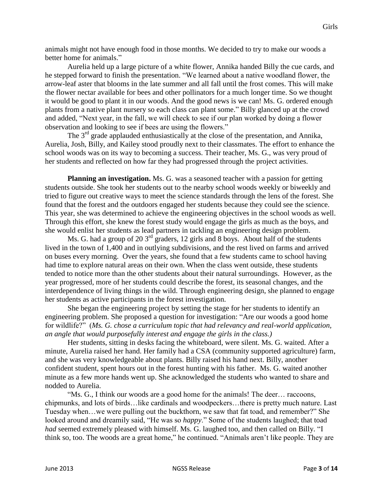animals might not have enough food in those months. We decided to try to make our woods a better home for animals."

Aurelia held up a large picture of a white flower, Annika handed Billy the cue cards, and he stepped forward to finish the presentation. "We learned about a native woodland flower, the arrow-leaf aster that blooms in the late summer and all fall until the frost comes. This will make the flower nectar available for bees and other pollinators for a much longer time. So we thought it would be good to plant it in our woods. And the good news is we can! Ms. G. ordered enough plants from a native plant nursery so each class can plant some." Billy glanced up at the crowd and added, "Next year, in the fall, we will check to see if our plan worked by doing a flower observation and looking to see if bees are using the flowers."

The  $3<sup>rd</sup>$  grade applauded enthusiastically at the close of the presentation, and Annika, Aurelia, Josh, Billy, and Kailey stood proudly next to their classmates. The effort to enhance the school woods was on its way to becoming a success. Their teacher, Ms. G., was very proud of her students and reflected on how far they had progressed through the project activities.

**Planning an investigation.** Ms. G. was a seasoned teacher with a passion for getting students outside. She took her students out to the nearby school woods weekly or biweekly and tried to figure out creative ways to meet the science standards through the lens of the forest. She found that the forest and the outdoors engaged her students because they could see the science. This year, she was determined to achieve the engineering objectives in the school woods as well. Through this effort, she knew the forest study would engage the girls as much as the boys, and she would enlist her students as lead partners in tackling an engineering design problem.

Ms. G. had a group of 20  $3<sup>rd</sup>$  graders, 12 girls and 8 boys. About half of the students lived in the town of 1,400 and in outlying subdivisions, and the rest lived on farms and arrived on buses every morning. Over the years, she found that a few students came to school having had time to explore natural areas on their own. When the class went outside, these students tended to notice more than the other students about their natural surroundings. However, as the year progressed, more of her students could describe the forest, its seasonal changes, and the interdependence of living things in the wild. Through engineering design, she planned to engage her students as active participants in the forest investigation.

She began the engineering project by setting the stage for her students to identify an engineering problem. She proposed a question for investigation: "Are our woods a good home for wildlife?" (*Ms. G. chose a curriculum topic that had relevancy and real-world application, an angle that would purposefully interest and engage the girls in the class.)*

Her students, sitting in desks facing the whiteboard, were silent. Ms. G. waited. After a minute, Aurelia raised her hand. Her family had a CSA (community supported agriculture) farm, and she was very knowledgeable about plants. Billy raised his hand next. Billy, another confident student, spent hours out in the forest hunting with his father. Ms. G. waited another minute as a few more hands went up. She acknowledged the students who wanted to share and nodded to Aurelia.

"Ms. G., I think our woods are a good home for the animals! The deer… raccoons, chipmunks, and lots of birds…like cardinals and woodpeckers…there is pretty much nature. Last Tuesday when…we were pulling out the buckthorn, we saw that fat toad, and remember?" She looked around and dreamily said, "He was so *happy*." Some of the students laughed; that toad *had* seemed extremely pleased with himself. Ms. G. laughed too, and then called on Billy. "I think so, too. The woods are a great home," he continued. "Animals aren't like people. They are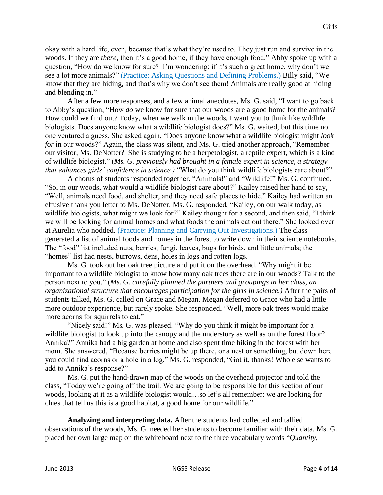okay with a hard life, even, because that's what they're used to. They just run and survive in the woods. If they are *there,* then it's a good home, if they have enough food." Abby spoke up with a question, "How do we know for sure? I'm wondering: if it's such a great home, why don't we see a lot more animals?" (Practice: Asking Questions and Defining Problems.) Billy said, "We know that they are hiding, and that's why we don't see them! Animals are really good at hiding and blending in."

After a few more responses, and a few animal anecdotes, Ms. G. said, "I want to go back to Abby's question, "How *do* we know for sure that our woods are a good home for the animals? How could we find out? Today, when we walk in the woods, I want you to think like wildlife biologists. Does anyone know what a wildlife biologist does?" Ms. G. waited, but this time no one ventured a guess. She asked again, "Does anyone know what a wildlife biologist might *look for* in our woods?" Again, the class was silent, and Ms. G. tried another approach, "Remember our visitor, Ms. DeNotter? She is studying to be a herpetologist, a reptile expert, which is a kind of wildlife biologist." (*Ms. G. previously had brought in a female expert in science, a strategy that enhances girls' confidence in science.)* "What do you think wildlife biologists care about?"

A chorus of students responded together, "Animals!" and "Wildlife!" Ms. G. continued, "So, in our woods, what would a wildlife biologist care about?" Kailey raised her hand to say, "Well, animals need food, and shelter, and they need safe places to hide." Kailey had written an effusive thank you letter to Ms. DeNotter. Ms. G. responded, "Kailey, on our walk today, as wildlife biologists, what might we look for?" Kailey thought for a second, and then said, "I think we will be looking for animal homes and what foods the animals eat out there." She looked over at Aurelia who nodded. (Practice: Planning and Carrying Out Investigations.) The class generated a list of animal foods and homes in the forest to write down in their science notebooks. The "food" list included nuts, berries, fungi, leaves, bugs for birds, and little animals; the "homes" list had nests, burrows, dens, holes in logs and rotten logs.

Ms. G. took out her oak tree picture and put it on the overhead. "Why might it be important to a wildlife biologist to know how many oak trees there are in our woods? Talk to the person next to you." (*Ms. G. carefully planned the partners and groupings in her class, an organizational structure that encourages participation for the girls in science.)* After the pairs of students talked, Ms. G. called on Grace and Megan. Megan deferred to Grace who had a little more outdoor experience, but rarely spoke. She responded, "Well, more oak trees would make more acorns for squirrels to eat."

"Nicely said!" Ms. G. was pleased. "Why do you think it might be important for a wildlife biologist to look up into the canopy and the understory as well as on the forest floor? Annika?" Annika had a big garden at home and also spent time hiking in the forest with her mom. She answered, "Because berries might be up there, or a nest or something, but down here you could find acorns or a hole in a log." Ms. G. responded, "Got it, thanks! Who else wants to add to Annika's response?"

Ms. G. put the hand-drawn map of the woods on the overhead projector and told the class, "Today we're going off the trail. We are going to be responsible for this section of our woods, looking at it as a wildlife biologist would…so let's all remember: we are looking for clues that tell us this is a good habitat, a good home for our wildlife."

**Analyzing and interpreting data.** After the students had collected and tallied observations of the woods, Ms. G. needed her students to become familiar with their data. Ms. G. placed her own large map on the whiteboard next to the three vocabulary words "*Quantity,*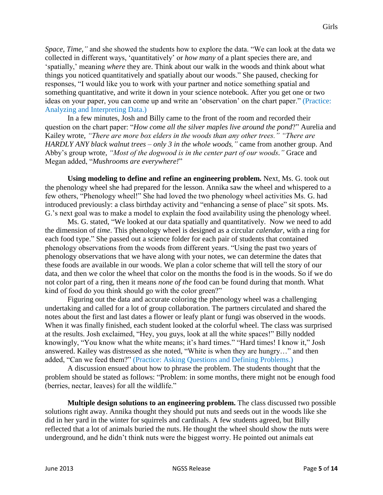*Space, Time,"* and she showed the students how to explore the data. "We can look at the data we collected in different ways, 'quantitatively' or *how many* of a plant species there are, and 'spatially,' meaning *where* they are. Think about our walk in the woods and think about what things you noticed quantitatively and spatially about our woods." She paused, checking for responses, "I would like you to work with your partner and notice something spatial and something quantitative, and write it down in your science notebook. After you get one or two ideas on your paper, you can come up and write an 'observation' on the chart paper." (Practice: Analyzing and Interpreting Data.)

In a few minutes, Josh and Billy came to the front of the room and recorded their question on the chart paper: "*How come all the silver maples live around the pond*?" Aurelia and Kailey wrote, *"There are more box elders in the woods than any other trees." "There are HARDLY ANY black walnut trees – only 3 in the whole woods,"* came from another group. And Abby's group wrote, *"Most of the dogwood is in the center part of our woods."* Grace and Megan added, "*Mushrooms are everywhere!*"

**Using modeling to define and refine an engineering problem.** Next, Ms. G. took out the phenology wheel she had prepared for the lesson. Annika saw the wheel and whispered to a few others, "Phenology wheel!" She had loved the two phenology wheel activities Ms. G. had introduced previously: a class birthday activity and "enhancing a sense of place" sit spots. Ms. G.'s next goal was to make a model to explain the food availability using the phenology wheel.

Ms. G. stated, "We looked at our data spatially and quantitatively. Now we need to add the dimension of *time*. This phenology wheel is designed as a circular *calendar*, with a ring for each food type." She passed out a science folder for each pair of students that contained phenology observations from the woods from different years. "Using the past two years of phenology observations that we have along with your notes, we can determine the dates that these foods are available in our woods. We plan a color scheme that will tell the story of our data, and then we color the wheel that color on the months the food is in the woods. So if we do not color part of a ring, then it means *none of the* food can be found during that month. What kind of food do you think should go with the color green?"

Figuring out the data and accurate coloring the phenology wheel was a challenging undertaking and called for a lot of group collaboration. The partners circulated and shared the notes about the first and last dates a flower or leafy plant or fungi was observed in the woods. When it was finally finished, each student looked at the colorful wheel. The class was surprised at the results. Josh exclaimed, "Hey, you guys, look at all the white spaces!" Billy nodded knowingly, "You know what the white means; it's hard times." "Hard times! I know it," Josh answered. Kailey was distressed as she noted, "White is when they are hungry…" and then added, "Can we feed them?" (Practice: Asking Questions and Defining Problems.)

A discussion ensued about how to phrase the problem. The students thought that the problem should be stated as follows: "Problem: in some months, there might not be enough food (berries, nectar, leaves) for all the wildlife."

**Multiple design solutions to an engineering problem.** The class discussed two possible solutions right away. Annika thought they should put nuts and seeds out in the woods like she did in her yard in the winter for squirrels and cardinals. A few students agreed, but Billy reflected that a lot of animals buried the nuts. He thought the wheel should show the nuts were underground, and he didn't think nuts were the biggest worry. He pointed out animals eat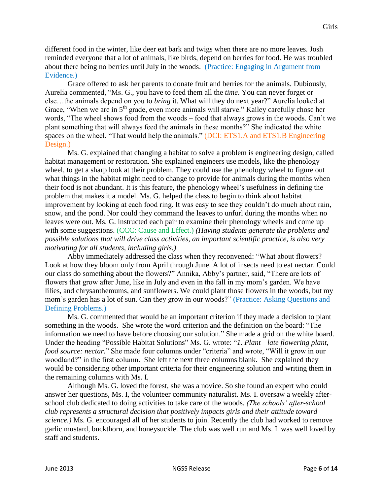different food in the winter, like deer eat bark and twigs when there are no more leaves. Josh reminded everyone that a lot of animals, like birds, depend on berries for food. He was troubled about there being no berries until July in the woods. (Practice: Engaging in Argument from Evidence.)

Grace offered to ask her parents to donate fruit and berries for the animals. Dubiously, Aurelia commented, "Ms. G., you have to feed them all the *time*. You can never forget or else…the animals depend on you to *bring* it. What will they do next year?" Aurelia looked at Grace, "When we are in 5<sup>th</sup> grade, even more animals will starve." Kailey carefully chose her words, "The wheel shows food from the woods – food that always grows in the woods. Can't we plant something that will always feed the animals in these months?" She indicated the white spaces on the wheel. "That would help the animals." (DCI: ETS1.A and ETS1.B Engineering Design.)

Ms. G. explained that changing a habitat to solve a problem is engineering design, called habitat management or restoration. She explained engineers use models, like the phenology wheel, to get a sharp look at their problem. They could use the phenology wheel to figure out what things in the habitat might need to change to provide for animals during the months when their food is not abundant. It is this feature, the phenology wheel's usefulness in defining the problem that makes it a model. Ms. G. helped the class to begin to think about habitat improvement by looking at each food ring. It was easy to see they couldn't do much about rain, snow, and the pond. Nor could they command the leaves to unfurl during the months when no leaves were out. Ms. G. instructed each pair to examine their phenology wheels and come up with some suggestions. (CCC: Cause and Effect.) *(Having students generate the problems and possible solutions that will drive class activities, an important scientific practice, is also very motivating for all students, including girls.)*

Abby immediately addressed the class when they reconvened: "What about flowers? Look at how they bloom only from April through June. A lot of insects need to eat nectar. Could our class do something about the flowers?" Annika, Abby's partner, said, "There are lots of flowers that grow after June, like in July and even in the fall in my mom's garden. We have lilies, and chrysanthemums, and sunflowers. We could plant those flowers in the woods, but my mom's garden has a lot of sun. Can they grow in our woods?" (Practice: Asking Questions and Defining Problems.)

Ms. G. commented that would be an important criterion if they made a decision to plant something in the woods. She wrote the word criterion and the definition on the board: "The information we need to have before choosing our solution." She made a grid on the white board. Under the heading "Possible Habitat Solutions" Ms. G. wrote: "*1. Plant—late flowering plant, food source: nectar.*" She made four columns under "criteria" and wrote, "Will it grow in our woodland?" in the first column. She left the next three columns blank. She explained they would be considering other important criteria for their engineering solution and writing them in the remaining columns with Ms. I.

Although Ms. G. loved the forest, she was a novice. So she found an expert who could answer her questions, Ms. I, the volunteer community naturalist. Ms. I. oversaw a weekly afterschool club dedicated to doing activities to take care of the woods. *(The schools' after-school club represents a structural decision that positively impacts girls and their attitude toward science.)* Ms. G. encouraged all of her students to join. Recently the club had worked to remove garlic mustard, buckthorn, and honeysuckle. The club was well run and Ms. I. was well loved by staff and students.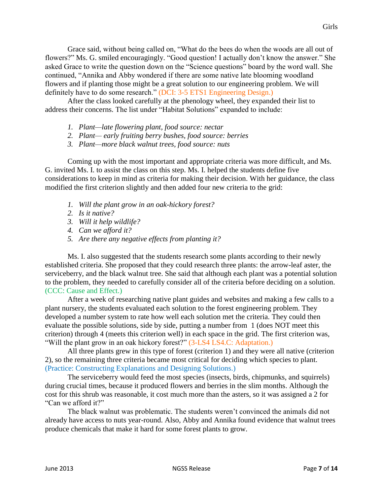Grace said, without being called on, "What do the bees do when the woods are all out of flowers?" Ms. G. smiled encouragingly. "Good question! I actually don't know the answer." She asked Grace to write the question down on the "Science questions" board by the word wall. She continued, "Annika and Abby wondered if there are some native late blooming woodland flowers and if planting those might be a great solution to our engineering problem. We will definitely have to do some research." (DCI: 3-5 ETS1 Engineering Design.)

After the class looked carefully at the phenology wheel, they expanded their list to address their concerns. The list under "Habitat Solutions" expanded to include:

- *1. Plant—late flowering plant, food source: nectar*
- *2. Plant— early fruiting berry bushes, food source: berries*
- *3. Plant—more black walnut trees, food source: nuts*

Coming up with the most important and appropriate criteria was more difficult, and Ms. G. invited Ms. I. to assist the class on this step. Ms. I. helped the students define five considerations to keep in mind as criteria for making their decision. With her guidance, the class modified the first criterion slightly and then added four new criteria to the grid:

- *1. Will the plant grow in an oak-hickory forest?*
- *2. Is it native?*
- *3. Will it help wildlife?*
- *4. Can we afford it?*
- *5. Are there any negative effects from planting it?*

Ms. I. also suggested that the students research some plants according to their newly established criteria. She proposed that they could research three plants: the arrow-leaf aster, the serviceberry, and the black walnut tree. She said that although each plant was a potential solution to the problem, they needed to carefully consider all of the criteria before deciding on a solution. (CCC: Cause and Effect.)

After a week of researching native plant guides and websites and making a few calls to a plant nursery, the students evaluated each solution to the forest engineering problem. They developed a number system to rate how well each solution met the criteria. They could then evaluate the possible solutions, side by side, putting a number from 1 (does NOT meet this criterion) through 4 (meets this criterion well) in each space in the grid. The first criterion was, "Will the plant grow in an oak hickory forest?" (3-LS4 LS4.C: Adaptation.)

All three plants grew in this type of forest (criterion 1) and they were all native (criterion 2), so the remaining three criteria became most critical for deciding which species to plant. (Practice: Constructing Explanations and Designing Solutions.)

The serviceberry would feed the most species (insects, birds, chipmunks, and squirrels) during crucial times, because it produced flowers and berries in the slim months. Although the cost for this shrub was reasonable, it cost much more than the asters, so it was assigned a 2 for "Can we afford it?"

The black walnut was problematic. The students weren't convinced the animals did not already have access to nuts year-round. Also, Abby and Annika found evidence that walnut trees produce chemicals that make it hard for some forest plants to grow.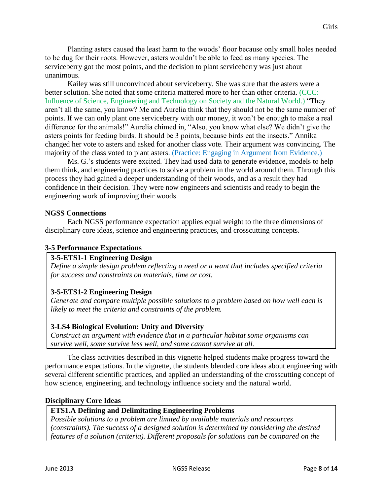Planting asters caused the least harm to the woods' floor because only small holes needed to be dug for their roots. However, asters wouldn't be able to feed as many species. The serviceberry got the most points, and the decision to plant serviceberry was just about unanimous.

Kailey was still unconvinced about serviceberry. She was sure that the asters were a better solution. She noted that some criteria mattered more to her than other criteria. (CCC: Influence of Science, Engineering and Technology on Society and the Natural World.) "They aren't all the same, you know? Me and Aurelia think that they should not be the same number of points. If we can only plant one serviceberry with our money, it won't be enough to make a real difference for the animals!" Aurelia chimed in, "Also, you know what else? We didn't give the asters points for feeding birds. It should be 3 points, because birds eat the insects." Annika changed her vote to asters and asked for another class vote. Their argument was convincing. The majority of the class voted to plant asters. (Practice: Engaging in Argument from Evidence.)

Ms. G.'s students were excited. They had used data to generate evidence, models to help them think, and engineering practices to solve a problem in the world around them. Through this process they had gained a deeper understanding of their woods, and as a result they had confidence in their decision. They were now engineers and scientists and ready to begin the engineering work of improving their woods.

### **NGSS Connections**

Each NGSS performance expectation applies equal weight to the three dimensions of disciplinary core ideas, science and engineering practices, and crosscutting concepts.

## **3-5 Performance Expectations**

## **3-5-ETS1-1 Engineering Design**

*Define a simple design problem reflecting a need or a want that includes specified criteria for success and constraints on materials, time or cost.*

## **3-5-ETS1-2 Engineering Design**

*Generate and compare multiple possible solutions to a problem based on how well each is likely to meet the criteria and constraints of the problem.*

## **3-LS4 Biological Evolution: Unity and Diversity**

*Construct an argument with evidence that in a particular habitat some organisms can survive well, some survive less well, and some cannot survive at all.*

The class activities described in this vignette helped students make progress toward the performance expectations. In the vignette, the students blended core ideas about engineering with several different scientific practices, and applied an understanding of the crosscutting concept of how science, engineering, and technology influence society and the natural world.

#### **Disciplinary Core Ideas**

## **ETS1.A Defining and Delimitating Engineering Problems**

*Possible solutions to a problem are limited by available materials and resources (constraints). The success of a designed solution is determined by considering the desired features of a solution (criteria). Different proposals for solutions can be compared on the*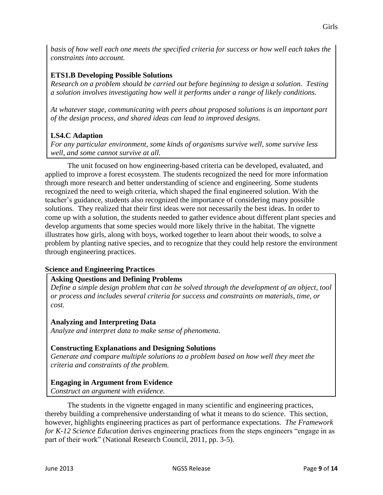*basis of how well each one meets the specified criteria for success or how well each takes the constraints into account.*

# **ETS1.B Developing Possible Solutions**

*Research on a problem should be carried out before beginning to design a solution. Testing a solution involves investigating how well it performs under a range of likely conditions.*

*At whatever stage, communicating with peers about proposed solutions is an important part of the design process, and shared ideas can lead to improved designs.*

# **LS4.C Adaption**

*For any particular environment, some kinds of organisms survive well, some survive less well, and some cannot survive at all.*

The unit focused on how engineering-based criteria can be developed, evaluated, and applied to improve a forest ecosystem. The students recognized the need for more information through more research and better understanding of science and engineering. Some students recognized the need to weigh criteria, which shaped the final engineered solution. With the teacher's guidance, students also recognized the importance of considering many possible solutions. They realized that their first ideas were not necessarily the best ideas. In order to come up with a solution, the students needed to gather evidence about different plant species and develop arguments that some species would more likely thrive in the habitat. The vignette illustrates how girls, along with boys, worked together to learn about their woods, to solve a problem by planting native species, and to recognize that they could help restore the environment through engineering practices.

## **Science and Engineering Practices**

## **Asking Questions and Defining Problems**

*Define a simple design problem that can be solved through the development of an object, tool or process and includes several criteria for success and constraints on materials, time, or cost.*

## **Analyzing and Interpreting Data**

*Analyze and interpret data to make sense of phenomena.*

## **Constructing Explanations and Designing Solutions**

*Generate and compare multiple solutions to a problem based on how well they meet the criteria and constraints of the problem.*

## **Engaging in Argument from Evidence**

*Construct an argument with evidence.*

The students in the vignette engaged in many scientific and engineering practices, thereby building a comprehensive understanding of what it means to do science. This section, however, highlights engineering practices as part of performance expectations. *The Framework for K-12 Science Education* derives engineering practices from the steps engineers "engage in as part of their work" (National Research Council, 2011, pp. 3-5).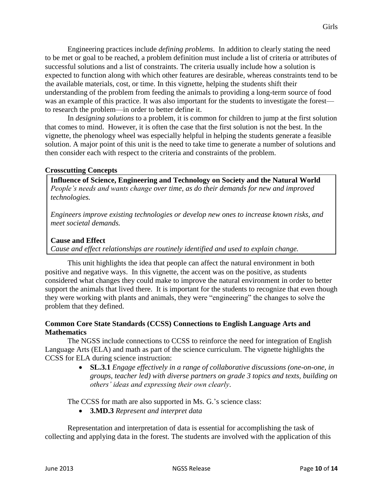Engineering practices include *defining problems*. In addition to clearly stating the need to be met or goal to be reached, a problem definition must include a list of criteria or attributes of successful solutions and a list of constraints. The criteria usually include how a solution is expected to function along with which other features are desirable, whereas constraints tend to be the available materials, cost, or time. In this vignette, helping the students shift their understanding of the problem from feeding the animals to providing a long-term source of food was an example of this practice. It was also important for the students to investigate the forest to research the problem—in order to better define it.

In *designing solutions* to a problem, it is common for children to jump at the first solution that comes to mind. However, it is often the case that the first solution is not the best. In the vignette, the phenology wheel was especially helpful in helping the students generate a feasible solution. A major point of this unit is the need to take time to generate a number of solutions and then consider each with respect to the criteria and constraints of the problem.

### **Crosscutting Concepts**

**Influence of Science, Engineering and Technology on Society and the Natural World** *People's needs and wants change over time, as do their demands for new and improved technologies.*

*Engineers improve existing technologies or develop new ones to increase known risks, and meet societal demands.*

#### **Cause and Effect**

*Cause and effect relationships are routinely identified and used to explain change.*

This unit highlights the idea that people can affect the natural environment in both positive and negative ways. In this vignette, the accent was on the positive, as students considered what changes they could make to improve the natural environment in order to better support the animals that lived there. It is important for the students to recognize that even though they were working with plants and animals, they were "engineering" the changes to solve the problem that they defined.

### **Common Core State Standards (CCSS) Connections to English Language Arts and Mathematics**

The NGSS include connections to CCSS to reinforce the need for integration of English Language Arts (ELA) and math as part of the science curriculum. The vignette highlights the CCSS for ELA during science instruction:

> **SL.3.1** *Engage effectively in a range of collaborative discussions (one-on-one, in groups, teacher led) with diverse partners on grade 3 topics and texts, building on others' ideas and expressing their own clearly*.

The CCSS for math are also supported in Ms. G.'s science class:

**3.MD.3** *Represent and interpret data*

Representation and interpretation of data is essential for accomplishing the task of collecting and applying data in the forest. The students are involved with the application of this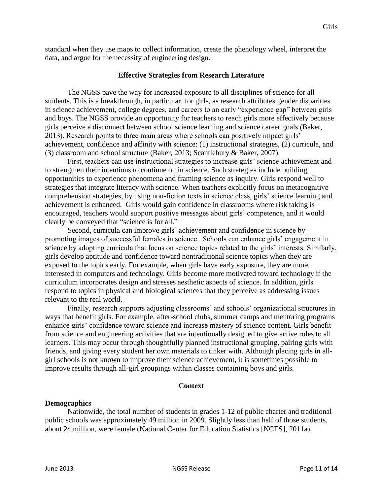standard when they use maps to collect information, create the phenology wheel, interpret the data, and argue for the necessity of engineering design.

#### **Effective Strategies from Research Literature**

The NGSS pave the way for increased exposure to all disciplines of science for all students. This is a breakthrough, in particular, for girls, as research attributes gender disparities in science achievement, college degrees, and careers to an early "experience gap" between girls and boys. The NGSS provide an opportunity for teachers to reach girls more effectively because girls perceive a disconnect between school science learning and science career goals (Baker, 2013). Research points to three main areas where schools can positively impact girls' achievement, confidence and affinity with science: (1) instructional strategies, (2) curricula, and (3) classroom and school structure (Baker, 2013; Scantlebury & Baker, 2007).

First, teachers can use instructional strategies to increase girls' science achievement and to strengthen their intentions to continue on in science. Such strategies include building opportunities to experience phenomena and framing science as inquiry. Girls respond well to strategies that integrate literacy with science. When teachers explicitly focus on metacognitive comprehension strategies, by using non-fiction texts in science class, girls' science learning and achievement is enhanced. Girls would gain confidence in classrooms where risk taking is encouraged, teachers would support positive messages about girls' competence, and it would clearly be conveyed that "science is for all."

Second, curricula can improve girls' achievement and confidence in science by promoting images of successful females in science. Schools can enhance girls' engagement in science by adopting curricula that focus on science topics related to the girls' interests. Similarly, girls develop aptitude and confidence toward nontraditional science topics when they are exposed to the topics early. For example, when girls have early exposure, they are more interested in computers and technology. Girls become more motivated toward technology if the curriculum incorporates design and stresses aesthetic aspects of science. In addition, girls respond to topics in physical and biological sciences that they perceive as addressing issues relevant to the real world.

Finally, research supports adjusting classrooms' and schools' organizational structures in ways that benefit girls. For example, after-school clubs, summer camps and mentoring programs enhance girls' confidence toward science and increase mastery of science content. Girls benefit from science and engineering activities that are intentionally designed to give active roles to all learners. This may occur through thoughtfully planned instructional grouping, pairing girls with friends, and giving every student her own materials to tinker with. Although placing girls in allgirl schools is not known to improve their science achievement, it is sometimes possible to improve results through all-girl groupings within classes containing boys and girls.

#### **Context**

#### **Demographics**

Nationwide, the total number of students in grades 1-12 of public charter and traditional public schools was approximately 49 million in 2009. Slightly less than half of those students, about 24 million, were female (National Center for Education Statistics [NCES], 2011a).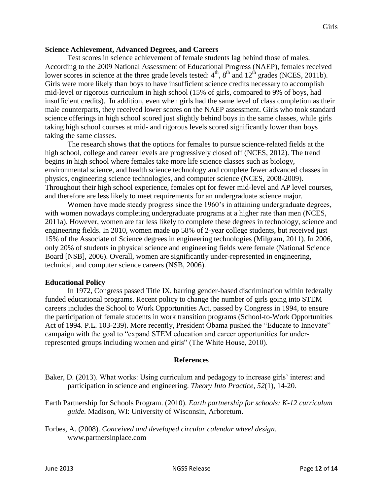#### **Science Achievement, Advanced Degrees, and Careers**

Test scores in science achievement of female students lag behind those of males. According to the 2009 National Assessment of Educational Progress (NAEP), females received lower scores in science at the three grade levels tested:  $4<sup>th</sup>$ ,  $8<sup>th</sup>$  and  $12<sup>th</sup>$  grades (NCES, 2011b). Girls were more likely than boys to have insufficient science credits necessary to accomplish mid-level or rigorous curriculum in high school (15% of girls, compared to 9% of boys, had insufficient credits). In addition, even when girls had the same level of class completion as their male counterparts, they received lower scores on the NAEP assessment. Girls who took standard science offerings in high school scored just slightly behind boys in the same classes, while girls taking high school courses at mid- and rigorous levels scored significantly lower than boys taking the same classes.

The research shows that the options for females to pursue science-related fields at the high school, college and career levels are progressively closed off (NCES, 2012). The trend begins in high school where females take more life science classes such as biology, environmental science, and health science technology and complete fewer advanced classes in physics, engineering science technologies, and computer science (NCES, 2008-2009). Throughout their high school experience, females opt for fewer mid-level and AP level courses, and therefore are less likely to meet requirements for an undergraduate science major.

Women have made steady progress since the 1960's in attaining undergraduate degrees, with women nowadays completing undergraduate programs at a higher rate than men (NCES, 2011a). However, women are far less likely to complete these degrees in technology, science and engineering fields. In 2010, women made up 58% of 2-year college students, but received just 15% of the Associate of Science degrees in engineering technologies (Milgram, 2011). In 2006, only 20% of students in physical science and engineering fields were female (National Science Board [NSB], 2006). Overall, women are significantly under-represented in engineering, technical, and computer science careers (NSB, 2006).

#### **Educational Policy**

In 1972, Congress passed Title IX, barring gender-based discrimination within federally funded educational programs. Recent policy to change the number of girls going into STEM careers includes the School to Work Opportunities Act, passed by Congress in 1994, to ensure the participation of female students in work transition programs (School-to-Work Opportunities Act of 1994. P.L. 103-239). More recently, President Obama pushed the "Educate to Innovate" campaign with the goal to "expand STEM education and career opportunities for underrepresented groups including women and girls" (The White House, 2010).

#### **References**

- Baker, D. (2013). What works: Using curriculum and pedagogy to increase girls' interest and participation in science and engineering. *Theory Into Practice, 52*(1)*,* 14-20.
- Earth Partnership for Schools Program. (2010). *Earth partnership for schools: K-12 curriculum guide.* Madison, WI: University of Wisconsin, Arboretum.
- Forbes, A. (2008). *Conceived and developed circular calendar wheel design.*  [www.partnersinplace.com](http://www.partnersinplace.com/)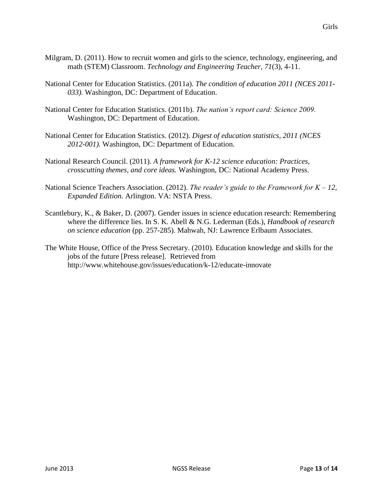- Milgram, D. (2011). How to recruit women and girls to the science, technology, engineering, and math (STEM) Classroom. *Technology and Engineering Teacher, 71*(3), 4-11.
- National Center for Education Statistics. (2011a). *The condition of education 2011 (NCES 2011- 033).* Washington, DC: Department of Education.
- National Center for Education Statistics. (2011b). *The nation's report card: Science 2009.* Washington, DC: Department of Education.
- National Center for Education Statistics. (2012). *Digest of education statistics, 2011 (NCES 2012-001).* Washington, DC: Department of Education.
- National Research Council. (2011). *A framework for K-12 science education: Practices, crosscutting themes, and core ideas.* Washington, DC: National Academy Press.
- National Science Teachers Association. (2012). *The reader's guide to the Framework for K – 12, Expanded Edition.* Arlington. VA: NSTA Press.
- Scantlebury, K., & Baker, D. (2007). Gender issues in science education research: Remembering where the difference lies. In S. K. Abell & N.G. Lederman (Eds.), *Handbook of research on science education* (pp. 257-285). Mahwah, NJ: Lawrence Erlbaum Associates.
- The White House, Office of the Press Secretary. (2010). Education knowledge and skills for the jobs of the future [Press release]. Retrieved from <http://www.whitehouse.gov/issues/education/k-12/educate-innovate>